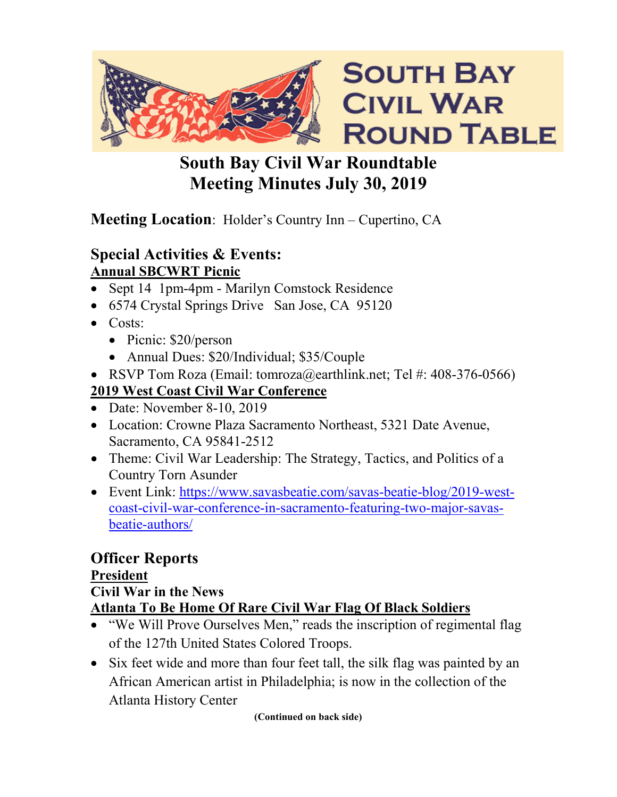

# **South Bay Civil War Roundtable Meeting Minutes July 30, 2019**

## **Meeting Location**: Holder's Country Inn – Cupertino, CA

## **Special Activities & Events: Annual SBCWRT Picnic**

- Sept 14 1pm-4pm Marilyn Comstock Residence
- 6574 Crystal Springs Drive San Jose, CA 95120
- Costs:
	- Picnic: \$20/person
	- Annual Dues: \$20/Individual; \$35/Couple
- RSVP Tom Roza (Email: tomroza@earthlink.net; Tel #: 408-376-0566)

## **2019 West Coast Civil War Conference**

- Date: November 8-10, 2019
- Location: Crowne Plaza Sacramento Northeast, 5321 Date Avenue, Sacramento, CA 95841-2512
- Theme: Civil War Leadership: The Strategy, Tactics, and Politics of a Country Torn Asunder
- Event Link: [https://www.savasbeatie.com/savas-beatie-blog/2019-west](https://www.savasbeatie.com/savas-beatie-blog/2019-west-coast-civil-war-conference-in-sacramento-featuring-two-major-savas-beatie-authors/)[coast-civil-war-conference-in-sacramento-featuring-two-major-savas](https://www.savasbeatie.com/savas-beatie-blog/2019-west-coast-civil-war-conference-in-sacramento-featuring-two-major-savas-beatie-authors/)[beatie-authors/](https://www.savasbeatie.com/savas-beatie-blog/2019-west-coast-civil-war-conference-in-sacramento-featuring-two-major-savas-beatie-authors/)

## **Officer Reports President**

#### **Civil War in the News**

## **Atlanta To Be Home Of Rare Civil War Flag Of Black Soldiers**

- "We Will Prove Ourselves Men," reads the inscription of regimental flag of the 127th United States Colored Troops.
- Six feet wide and more than four feet tall, the silk flag was painted by an African American artist in Philadelphia; is now in the collection of the Atlanta History Center

**(Continued on back side)**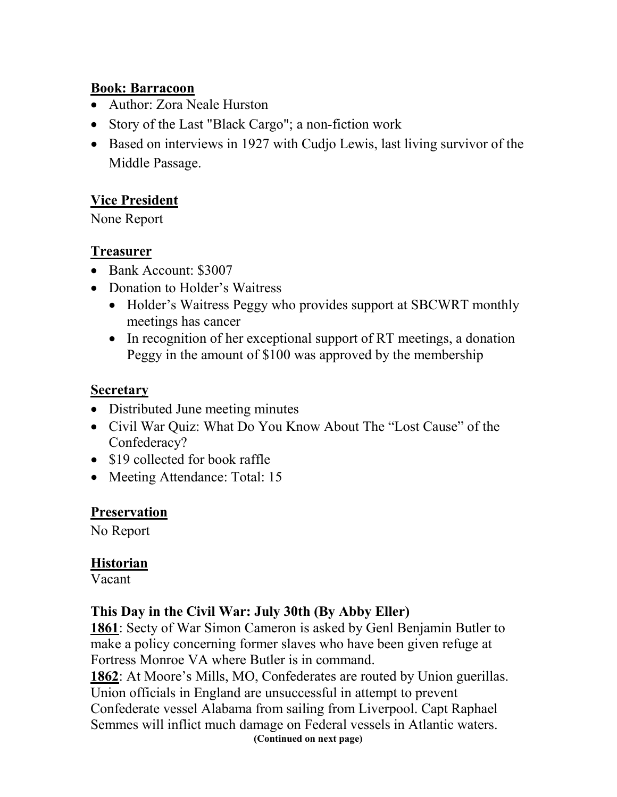#### **Book: Barracoon**

- Author: Zora Neale Hurston
- Story of the Last "Black Cargo"; a non-fiction work
- Based on interviews in 1927 with Cudjo Lewis, last living survivor of the Middle Passage.

#### **Vice President**

None Report

#### **Treasurer**

- Bank Account: \$3007
- Donation to Holder's Waitress
	- Holder's Waitress Peggy who provides support at SBCWRT monthly meetings has cancer
	- In recognition of her exceptional support of RT meetings, a donation Peggy in the amount of \$100 was approved by the membership

#### **Secretary**

- Distributed June meeting minutes
- Civil War Quiz: What Do You Know About The "Lost Cause" of the Confederacy?
- \$19 collected for book raffle
- Meeting Attendance: Total: 15

#### **Preservation**

No Report

#### **Historian**

Vacant

#### **This Day in the Civil War: July 30th (By Abby Eller)**

**1861**: Secty of War Simon Cameron is asked by Genl Benjamin Butler to make a policy concerning former slaves who have been given refuge at Fortress Monroe VA where Butler is in command.

**1862**: At Moore's Mills, MO, Confederates are routed by Union guerillas. Union officials in England are unsuccessful in attempt to prevent Confederate vessel Alabama from sailing from Liverpool. Capt Raphael Semmes will inflict much damage on Federal vessels in Atlantic waters. **(Continued on next page)**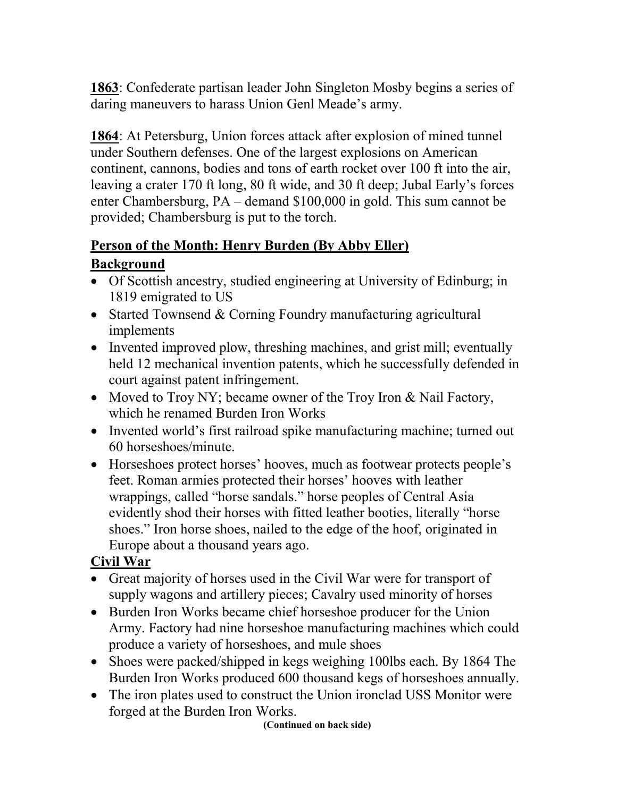**1863**: Confederate partisan leader John Singleton Mosby begins a series of daring maneuvers to harass Union Genl Meade's army.

**1864**: At Petersburg, Union forces attack after explosion of mined tunnel under Southern defenses. One of the largest explosions on American continent, cannons, bodies and tons of earth rocket over 100 ft into the air, leaving a crater 170 ft long, 80 ft wide, and 30 ft deep; Jubal Early's forces enter Chambersburg, PA – demand \$100,000 in gold. This sum cannot be provided; Chambersburg is put to the torch.

## **Person of the Month: Henry Burden (By Abby Eller)**

## **Background**

- Of Scottish ancestry, studied engineering at University of Edinburg; in 1819 emigrated to US
- Started Townsend & Corning Foundry manufacturing agricultural implements
- Invented improved plow, threshing machines, and grist mill; eventually held 12 mechanical invention patents, which he successfully defended in court against patent infringement.
- Moved to Troy NY; became owner of the Troy Iron & Nail Factory, which he renamed Burden Iron Works
- Invented world's first railroad spike manufacturing machine; turned out 60 horseshoes/minute.
- Horseshoes protect horses' hooves, much as footwear protects people's feet. Roman armies protected their horses' hooves with leather wrappings, called "horse sandals." horse peoples of Central Asia evidently shod their horses with fitted leather booties, literally "horse shoes." Iron horse shoes, nailed to the edge of the hoof, originated in Europe about a thousand years ago.

## **Civil War**

- Great majority of horses used in the Civil War were for transport of supply wagons and artillery pieces; Cavalry used minority of horses
- Burden Iron Works became chief horseshoe producer for the Union Army. Factory had nine horseshoe manufacturing machines which could produce a variety of horseshoes, and mule shoes
- Shoes were packed/shipped in kegs weighing 100lbs each. By 1864 The Burden Iron Works produced 600 thousand kegs of horseshoes annually.
- The iron plates used to construct the Union ironclad USS Monitor were forged at the Burden Iron Works.

**(Continued on back side)**